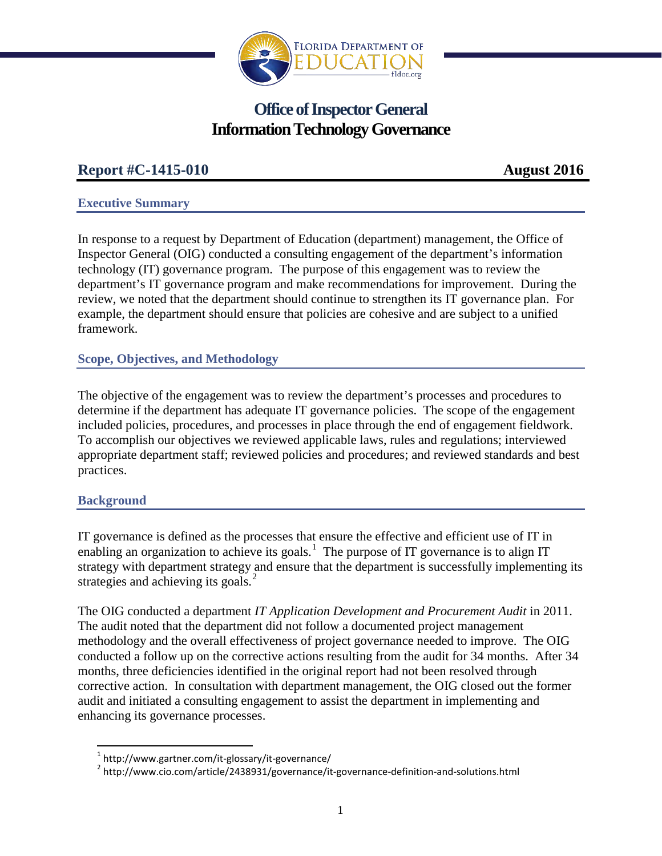

# **Office of Inspector General Information TechnologyGovernance**

## **Report #C-1415-010 August 2016**

## **Executive Summary**

In response to a request by Department of Education (department) management, the Office of Inspector General (OIG) conducted a consulting engagement of the department's information technology (IT) governance program. The purpose of this engagement was to review the department's IT governance program and make recommendations for improvement. During the review, we noted that the department should continue to strengthen its IT governance plan. For example, the department should ensure that policies are cohesive and are subject to a unified framework.

## **Scope, Objectives, and Methodology**

The objective of the engagement was to review the department's processes and procedures to determine if the department has adequate IT governance policies. The scope of the engagement included policies, procedures, and processes in place through the end of engagement fieldwork. To accomplish our objectives we reviewed applicable laws, rules and regulations; interviewed appropriate department staff; reviewed policies and procedures; and reviewed standards and best practices.

## **Background**

IT governance is defined as the processes that ensure the effective and efficient use of IT in enabling an organization to achieve its goals.<sup>[1](#page-0-0)</sup> The purpose of IT governance is to align IT strategy with department strategy and ensure that the department is successfully implementing its strategies and achieving its goals. $<sup>2</sup>$  $<sup>2</sup>$  $<sup>2</sup>$ </sup>

The OIG conducted a department *IT Application Development and Procurement Audit* in 2011. The audit noted that the department did not follow a documented project management methodology and the overall effectiveness of project governance needed to improve. The OIG conducted a follow up on the corrective actions resulting from the audit for 34 months. After 34 months, three deficiencies identified in the original report had not been resolved through corrective action. In consultation with department management, the OIG closed out the former audit and initiated a consulting engagement to assist the department in implementing and enhancing its governance processes.

<sup>&</sup>lt;sup>1</sup> http://www.gartner.com/it-glossary/it-governance/

<span id="page-0-1"></span><span id="page-0-0"></span><sup>&</sup>lt;sup>2</sup> http://www.cio.com/article/2438931/governance/it-governance-definition-and-solutions.html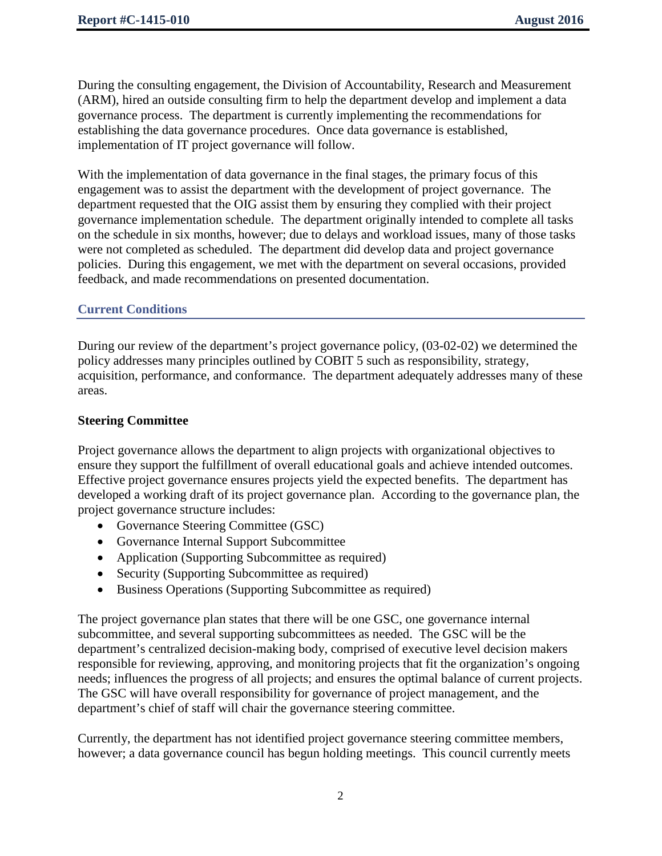During the consulting engagement, the Division of Accountability, Research and Measurement (ARM), hired an outside consulting firm to help the department develop and implement a data governance process. The department is currently implementing the recommendations for establishing the data governance procedures. Once data governance is established, implementation of IT project governance will follow.

With the implementation of data governance in the final stages, the primary focus of this engagement was to assist the department with the development of project governance. The department requested that the OIG assist them by ensuring they complied with their project governance implementation schedule. The department originally intended to complete all tasks on the schedule in six months, however; due to delays and workload issues, many of those tasks were not completed as scheduled. The department did develop data and project governance policies. During this engagement, we met with the department on several occasions, provided feedback, and made recommendations on presented documentation.

#### **Current Conditions**

During our review of the department's project governance policy, (03-02-02) we determined the policy addresses many principles outlined by COBIT 5 such as responsibility, strategy, acquisition, performance, and conformance. The department adequately addresses many of these areas.

#### **Steering Committee**

Project governance allows the department to align projects with organizational objectives to ensure they support the fulfillment of overall educational goals and achieve intended outcomes. Effective project governance ensures projects yield the expected benefits. The department has developed a working draft of its project governance plan. According to the governance plan, the project governance structure includes:

- Governance Steering Committee (GSC)
- Governance Internal Support Subcommittee
- Application (Supporting Subcommittee as required)
- Security (Supporting Subcommittee as required)
- Business Operations (Supporting Subcommittee as required)

The project governance plan states that there will be one GSC, one governance internal subcommittee, and several supporting subcommittees as needed. The GSC will be the department's centralized decision-making body, comprised of executive level decision makers responsible for reviewing, approving, and monitoring projects that fit the organization's ongoing needs; influences the progress of all projects; and ensures the optimal balance of current projects. The GSC will have overall responsibility for governance of project management, and the department's chief of staff will chair the governance steering committee.

Currently, the department has not identified project governance steering committee members, however; a data governance council has begun holding meetings. This council currently meets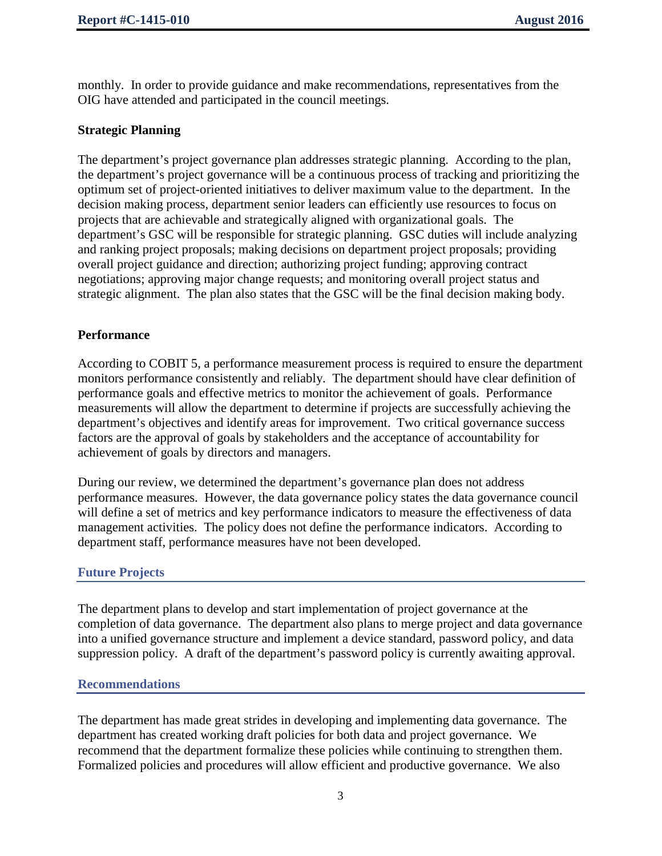monthly. In order to provide guidance and make recommendations, representatives from the OIG have attended and participated in the council meetings.

#### **Strategic Planning**

The department's project governance plan addresses strategic planning. According to the plan, the department's project governance will be a continuous process of tracking and prioritizing the optimum set of project-oriented initiatives to deliver maximum value to the department. In the decision making process, department senior leaders can efficiently use resources to focus on projects that are achievable and strategically aligned with organizational goals. The department's GSC will be responsible for strategic planning. GSC duties will include analyzing and ranking project proposals; making decisions on department project proposals; providing overall project guidance and direction; authorizing project funding; approving contract negotiations; approving major change requests; and monitoring overall project status and strategic alignment. The plan also states that the GSC will be the final decision making body.

#### **Performance**

According to COBIT 5, a performance measurement process is required to ensure the department monitors performance consistently and reliably. The department should have clear definition of performance goals and effective metrics to monitor the achievement of goals. Performance measurements will allow the department to determine if projects are successfully achieving the department's objectives and identify areas for improvement. Two critical governance success factors are the approval of goals by stakeholders and the acceptance of accountability for achievement of goals by directors and managers.

During our review, we determined the department's governance plan does not address performance measures. However, the data governance policy states the data governance council will define a set of metrics and key performance indicators to measure the effectiveness of data management activities. The policy does not define the performance indicators. According to department staff, performance measures have not been developed.

#### **Future Projects**

The department plans to develop and start implementation of project governance at the completion of data governance. The department also plans to merge project and data governance into a unified governance structure and implement a device standard, password policy, and data suppression policy. A draft of the department's password policy is currently awaiting approval.

#### **Recommendations**

The department has made great strides in developing and implementing data governance. The department has created working draft policies for both data and project governance. We recommend that the department formalize these policies while continuing to strengthen them. Formalized policies and procedures will allow efficient and productive governance. We also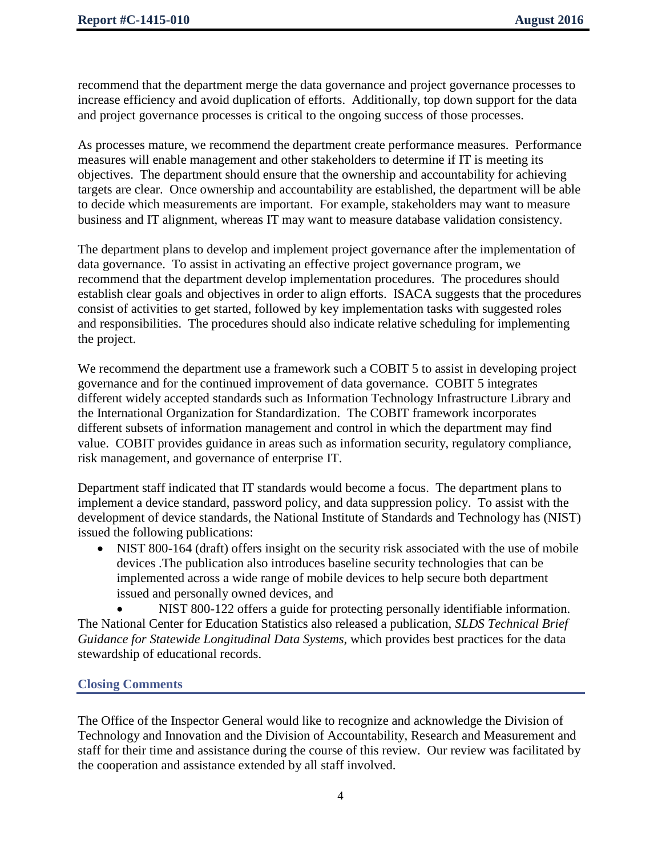recommend that the department merge the data governance and project governance processes to increase efficiency and avoid duplication of efforts. Additionally, top down support for the data and project governance processes is critical to the ongoing success of those processes.

As processes mature, we recommend the department create performance measures. Performance measures will enable management and other stakeholders to determine if IT is meeting its objectives. The department should ensure that the ownership and accountability for achieving targets are clear. Once ownership and accountability are established, the department will be able to decide which measurements are important. For example, stakeholders may want to measure business and IT alignment, whereas IT may want to measure database validation consistency.

The department plans to develop and implement project governance after the implementation of data governance. To assist in activating an effective project governance program, we recommend that the department develop implementation procedures. The procedures should establish clear goals and objectives in order to align efforts. ISACA suggests that the procedures consist of activities to get started, followed by key implementation tasks with suggested roles and responsibilities. The procedures should also indicate relative scheduling for implementing the project.

We recommend the department use a framework such a COBIT 5 to assist in developing project governance and for the continued improvement of data governance. COBIT 5 integrates different widely accepted standards such as Information Technology Infrastructure Library and the International Organization for Standardization. The COBIT framework incorporates different subsets of information management and control in which the department may find value. COBIT provides guidance in areas such as information security, regulatory compliance, risk management, and governance of enterprise IT.

Department staff indicated that IT standards would become a focus. The department plans to implement a device standard, password policy, and data suppression policy. To assist with the development of device standards, the National Institute of Standards and Technology has (NIST) issued the following publications:

• NIST 800-164 (draft) offers insight on the security risk associated with the use of mobile devices .The publication also introduces baseline security technologies that can be implemented across a wide range of mobile devices to help secure both department issued and personally owned devices, and

NIST 800-122 offers a guide for protecting personally identifiable information. The National Center for Education Statistics also released a publication, *SLDS Technical Brief Guidance for Statewide Longitudinal Data Systems*, which provides best practices for the data stewardship of educational records.

## **Closing Comments**

The Office of the Inspector General would like to recognize and acknowledge the Division of Technology and Innovation and the Division of Accountability, Research and Measurement and staff for their time and assistance during the course of this review. Our review was facilitated by the cooperation and assistance extended by all staff involved.